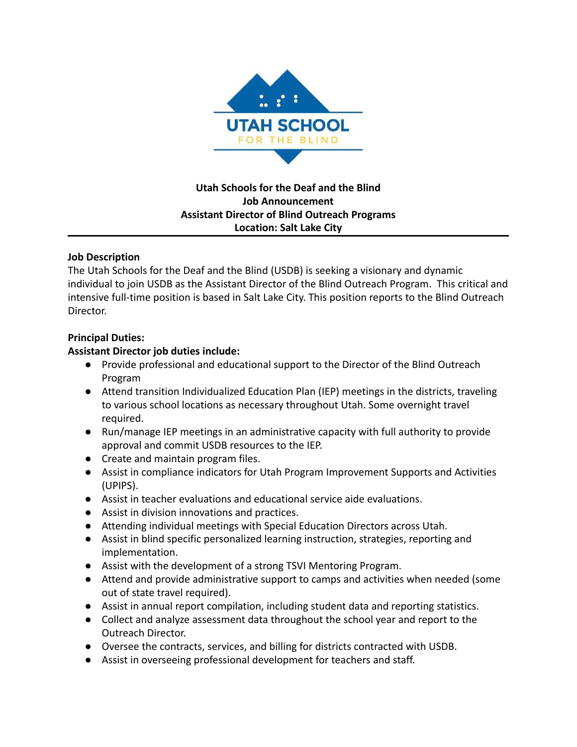

**Utah Schools for the Deaf and the Blind Job Announcement Assistant Director of Blind Outreach Programs Location: Salt Lake City**

## **Job Description**

The Utah Schools for the Deaf and the Blind (USDB) is seeking a visionary and dynamic individual to join USDB as the Assistant Director of the Blind Outreach Program. This critical and intensive full-time position is based in Salt Lake City. This position reports to the Blind Outreach Director.

# **Principal Duties:**

# **Assistant Director job duties include:**

- **●** Provide professional and educational support to the Director of the Blind Outreach Program
- **●** Attend transition Individualized Education Plan (IEP) meetings in the districts, traveling to various school locations as necessary throughout Utah. Some overnight travel required.
- **●** Run/manage IEP meetings in an administrative capacity with full authority to provide approval and commit USDB resources to the IEP.
- **●** Create and maintain program files.
- **●** Assist in compliance indicators for Utah Program Improvement Supports and Activities (UPIPS).
- **●** Assist in teacher evaluations and educational service aide evaluations.
- **●** Assist in division innovations and practices.
- **●** Attending individual meetings with Special Education Directors across Utah.
- **●** Assist in blind specific personalized learning instruction, strategies, reporting and implementation.
- Assist with the development of a strong TSVI Mentoring Program.
- Attend and provide administrative support to camps and activities when needed (some out of state travel required).
- **●** Assist in annual report compilation, including student data and reporting statistics.
- **●** Collect and analyze assessment data throughout the school year and report to the Outreach Director.
- **●** Oversee the contracts, services, and billing for districts contracted with USDB.
- **●** Assist in overseeing professional development for teachers and staff.